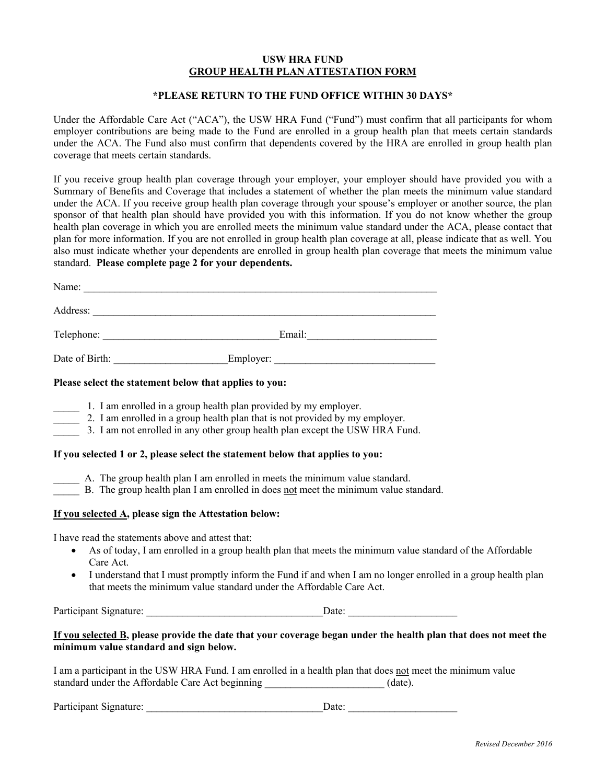## **USW HRA FUND GROUP HEALTH PLAN ATTESTATION FORM**

# **\*PLEASE RETURN TO THE FUND OFFICE WITHIN 30 DAYS\***

Under the Affordable Care Act ("ACA"), the USW HRA Fund ("Fund") must confirm that all participants for whom employer contributions are being made to the Fund are enrolled in a group health plan that meets certain standards under the ACA. The Fund also must confirm that dependents covered by the HRA are enrolled in group health plan coverage that meets certain standards.

If you receive group health plan coverage through your employer, your employer should have provided you with a Summary of Benefits and Coverage that includes a statement of whether the plan meets the minimum value standard under the ACA. If you receive group health plan coverage through your spouse's employer or another source, the plan sponsor of that health plan should have provided you with this information. If you do not know whether the group health plan coverage in which you are enrolled meets the minimum value standard under the ACA, please contact that plan for more information. If you are not enrolled in group health plan coverage at all, please indicate that as well. You also must indicate whether your dependents are enrolled in group health plan coverage that meets the minimum value standard. **Please complete page 2 for your dependents.** 

| Name:          |           |  |
|----------------|-----------|--|
| Address:       |           |  |
| Telephone:     | Email:    |  |
| Date of Birth: | Employer: |  |

#### **Please select the statement below that applies to you:**

- 1. I am enrolled in a group health plan provided by my employer.
- 2. I am enrolled in a group health plan that is not provided by my employer.
- \_\_\_\_\_ 3. I am not enrolled in any other group health plan except the USW HRA Fund.

# **If you selected 1 or 2, please select the statement below that applies to you:**

- \_\_\_\_\_ A. The group health plan I am enrolled in meets the minimum value standard.
- B. The group health plan I am enrolled in does not meet the minimum value standard.

## **If you selected A, please sign the Attestation below:**

I have read the statements above and attest that:

- As of today, I am enrolled in a group health plan that meets the minimum value standard of the Affordable Care Act.
- I understand that I must promptly inform the Fund if and when I am no longer enrolled in a group health plan that meets the minimum value standard under the Affordable Care Act.

Participant Signature: \_\_\_\_\_\_\_\_\_\_\_\_\_\_\_\_\_\_\_\_\_\_\_\_\_\_\_\_\_\_\_\_\_\_Date: \_\_\_\_\_\_\_\_\_\_\_\_\_\_\_\_\_\_\_\_\_

# **If you selected B, please provide the date that your coverage began under the health plan that does not meet the minimum value standard and sign below.**

I am a participant in the USW HRA Fund. I am enrolled in a health plan that does not meet the minimum value standard under the Affordable Care Act beginning (date).

Participant Signature: \_\_\_\_\_\_\_\_\_\_\_\_\_\_\_\_\_\_\_\_\_\_\_\_\_\_\_\_\_\_\_\_\_\_Date: \_\_\_\_\_\_\_\_\_\_\_\_\_\_\_\_\_\_\_\_\_